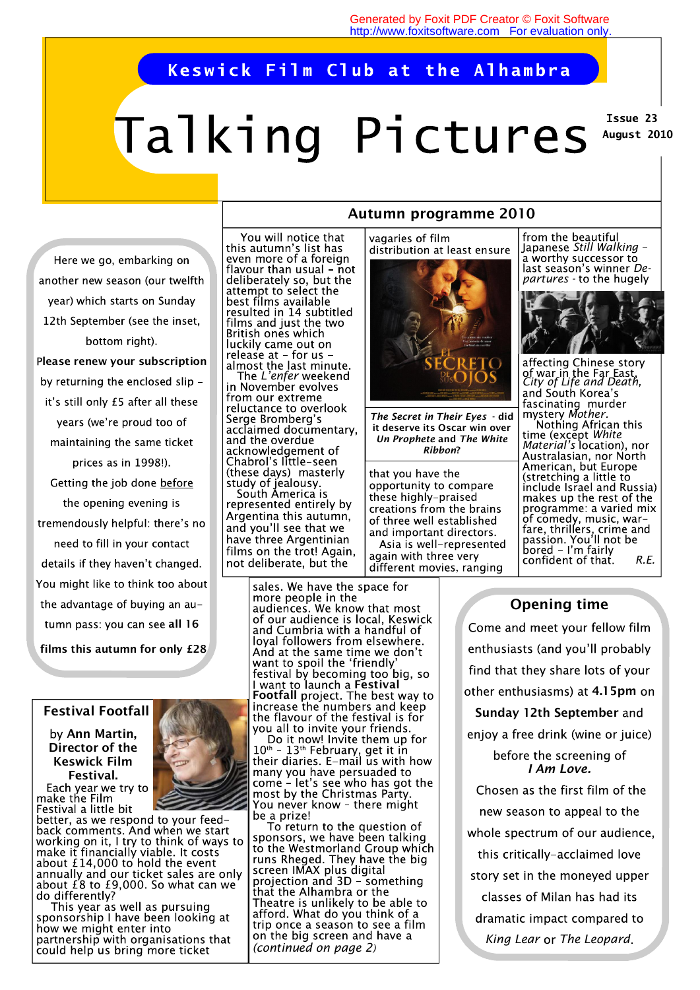#### Keswick Film Club at the Alhambra

# Talking Pictures

Issue 23 August 2010

another new season (our twelfth year) which starts on Sunday 12th September (see the inset, bottom right). **lease renew your subscription**  by returning the enclosed slip it's still only £5 after all these years (we're proud too of maintaining the same ticket prices as in 1998!). Getting the job done before the opening evening is tremendously helpful: there's no need to fill in your contact details if they haven't changed. You might like to think too about the advantage of buying an autumn pass: you can see all 16

Here we go, embarking on

 **films this autumn for only £28** 

#### **Festival Footfall**

# **Ann Martin, Director of the Keswick Film Festival.**<br>Each year we try to

make the Film Festival a little bit

better, as we respond to your feedback comments. And when we start working on it, I try to think of ways to<br>make it financially viable. It costs<br>about £14,000 to hold the event annually and our ticket sales are only about  $f$ 8 to £9,000. So what can we do differently?

This year as well as pursuing sponsorship I have been looking at how we might enter into partnership with organisations that could help us bring more ticket



*The L'enfer* weekend<br>*in November evolves* from our extreme reluctance to overlook Serge Bromberg's acclaimed documentary, accluding about acknowledgement of Chabrol's little-seen (these days) masterly study of jealousy.<br>South America is represented entirely by Argentina this autumn, and you'll see that we have three Argentinian films on the trot! Again. not deliberate, but the

> sales. We have the space for more people in the audiences. We know that most of our audience is local, Keswick and Cumbria with a handful of loyal followers from elsewhere. And at the same time we don't want to spoil the 'friendly festival by becoming too<sup>'</sup>big, so<br>I want to launch a **Festival Footfall** project. The best way to<br>increase the numbers and keep<br>the flavour of the festival is for you all to invite your friends.

> Do it now! Invite them up for  $10<sup>th</sup> - 13<sup>th</sup>$  February, get it in<br>their diaries. E-mail us with how many you have persuaded to<br>come – let's see who has got the<br>most by the Christmas Party. You never know – there might be a prize!

> To return to the question of sponsors, we have been talking to the Westmorland Group which runs Rheged. They have the big<br>screen IMAX plus digital projection and 3D - something that the Alhambra or the Theatre is unlikely to be able to afford. What do you think of a trip once a season to see a film on the big screen and have a *(continued on page 2)*

### **Autumn programme 2010**

vagaries of film distribution at least ensure



*The Secret in Their Eyes* **- did it deserve its Oscar win over**  *Un Prophete* **and** *The White Ribbon***?** 

that you have the opportunity to compare these highly-praised creations from the brains of three well established and important directors. Asia is well-represented again with three very different movies, ranging

from the beautiful Japanese Still Walking -<br>a worthy successor to last season's winner *Departures -* 



affecting Chinese story *City of Life and Death,*  Fascinating murder<br>mystery *Mother*.<br>Nothing African this *White Material's*  American, but Europe (stretching a little to include Israel and Russia) makes up the rest of the programme: a varied mix of comedy, music, war-Fare, thrillers, crime and<br>passion. You'll not be<br>bored – I'm fairly<br>confident of that. R.E. confident of that

# **Opening time**

Come and meet your fellow film enthusiasts (and you'll probably find that they share lots of your other enthusiasms) at 4.15pm on **Sunday 12th September**  enjoy a free drink (wine or juice) before the screening of *I Am Love.*  Chosen as the first film of the new season to appeal to the whole spectrum of our audience, this critically-acclaimed love story set in the moneyed upper classes of Milan has had its dramatic impact compared to *King Lear The Leopard*